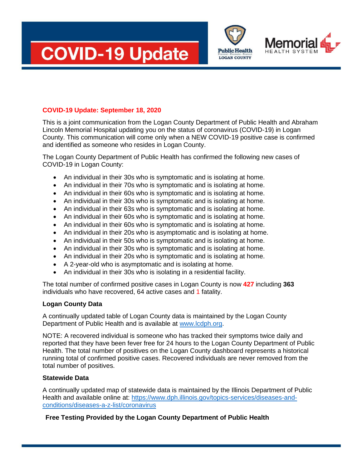





## **COVID-19 Update: September 18, 2020**

This is a joint communication from the Logan County Department of Public Health and Abraham Lincoln Memorial Hospital updating you on the status of coronavirus (COVID-19) in Logan County. This communication will come only when a NEW COVID-19 positive case is confirmed and identified as someone who resides in Logan County.

The Logan County Department of Public Health has confirmed the following new cases of COVID-19 in Logan County:

- An individual in their 30s who is symptomatic and is isolating at home.
- An individual in their 70s who is symptomatic and is isolating at home.
- An individual in their 60s who is symptomatic and is isolating at home.
- An individual in their 30s who is symptomatic and is isolating at home.
- An individual in their 63s who is symptomatic and is isolating at home.
- An individual in their 60s who is symptomatic and is isolating at home.
- An individual in their 60s who is symptomatic and is isolating at home.
- An individual in their 20s who is asymptomatic and is isolating at home.
- An individual in their 50s who is symptomatic and is isolating at home.
- An individual in their 30s who is symptomatic and is isolating at home.
- An individual in their 20s who is symptomatic and is isolating at home.
- A 2-year-old who is asymptomatic and is isolating at home.
- An individual in their 30s who is isolating in a residential facility.

The total number of confirmed positive cases in Logan County is now **427** including **363** individuals who have recovered, 64 active cases and 1 fatality.

## **Logan County Data**

A continually updated table of Logan County data is maintained by the Logan County Department of Public Health and is available at [www.lcdph.org.](http://www.lcdph.org/)

NOTE: A recovered individual is someone who has tracked their symptoms twice daily and reported that they have been fever free for 24 hours to the Logan County Department of Public Health. The total number of positives on the Logan County dashboard represents a historical running total of confirmed positive cases. Recovered individuals are never removed from the total number of positives.

## **Statewide Data**

A continually updated map of statewide data is maintained by the Illinois Department of Public Health and available online at: [https://www.dph.illinois.gov/topics-services/diseases-and](https://www.dph.illinois.gov/topics-services/diseases-and-conditions/diseases-a-z-list/coronavirus)[conditions/diseases-a-z-list/coronavirus](https://www.dph.illinois.gov/topics-services/diseases-and-conditions/diseases-a-z-list/coronavirus)

## **Free Testing Provided by the Logan County Department of Public Health**